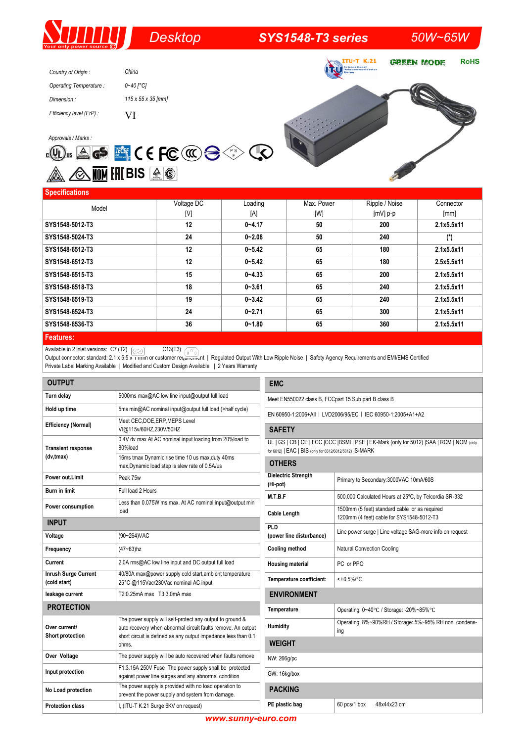# **b** *Desktop* **SYS1548-T3 series** 50W~65W

| Country of Origin:       | China              |
|--------------------------|--------------------|
| Operating Temperature:   | 0~40 [°C]          |
| Dimension:               | 115 x 55 x 35 [mm] |
| Efficiency level (ErP) : |                    |



# *Approvals / Marks :*

| Approvals / Marks : | $\mathbb{C}(\mathbb{Q})$ us $\triangleq$ $\Longleftrightarrow$ $\overline{\mathbb{C}}$ $\in$ $\mathbb{F}(\mathbb{C})$ $\oplus$ $\Longleftrightarrow$ $\bigotimes$                                                                                                                                                                                                                                                                                                                                                                                                 |  |
|---------------------|-------------------------------------------------------------------------------------------------------------------------------------------------------------------------------------------------------------------------------------------------------------------------------------------------------------------------------------------------------------------------------------------------------------------------------------------------------------------------------------------------------------------------------------------------------------------|--|
|                     | $\quad \textcircled{{\color{red}k} \ \textcircled{{\color{green}k} \ \textcircled{{\color{green}k} \ \textcircled{{\color{green}k} \ \textcircled{{\color{green}k} \ \textcircled{{\color{green}k} \ \textcircled{{\color{green}k} \ \textcircled{{\color{green}k} \ \textcircled{{\color{green}k} \ \textcircled{{\color{green}k} \ \textcircled{{\color{green}k} \ \textcircled{{\color{green}k} \ \textcircled{{\color{green}k} \ \textcircled{{\color{green}k} \ \textcircled{{\color{green}k} \ \textcircled{{\color{green}k} \ \textcircled{{\color{green}$ |  |

## **Specifications**

| <b>PRODUCTION</b> |            |            |            |                |            |
|-------------------|------------|------------|------------|----------------|------------|
| Model             | Voltage DC | Loading    | Max. Power | Ripple / Noise | Connector  |
|                   | [V]        | [A]        | [W]        | $[mV]$ p-p     | [mm]       |
| SYS1548-5012-T3   | 12         | $0 - 4.17$ | 50         | 200            | 2.1x5.5x11 |
| SYS1548-5024-T3   | 24         | $0 - 2.08$ | 50         | 240            | $(*)$      |
| SYS1548-6512-T3   | 12         | $0 - 5.42$ | 65         | 180            | 2.1x5.5x11 |
| SYS1548-6512-T3   | 12         | $0 - 5.42$ | 65         | 180            | 2.5x5.5x11 |
| SYS1548-6515-T3   | 15         | $0 - 4.33$ | 65         | 200            | 2.1x5.5x11 |
| SYS1548-6518-T3   | 18         | $0 - 3.61$ | 65         | 240            | 2.1x5.5x11 |
| SYS1548-6519-T3   | 19         | $0 - 3.42$ | 65         | 240            | 2.1x5.5x11 |
| SYS1548-6524-T3   | 24         | $0 - 2.71$ | 65         | 300            | 2.1x5.5x11 |
| SYS1548-6536-T3   | 36         | $0 - 1.80$ | 65         | 360            | 2.1x5.5x11 |
| <b>Features:</b>  |            |            |            |                |            |

Available in 2 inlet versions:  $C7(T2)$   $\sim$   $C13(T3)$ 

Output connector: standard: 2.1 x 5.5 x 11mm or customer requirement | Regulated Output With Low Ripple Noise | Safety Agency Requirements and EMI/EMS Certified Private Label Marking Available | Modified and Custom Design Available | 2 Years Warranty

| <b>OUTPUT</b>                               |                                                                                                                           | <b>EMC</b>                                                                                                                                              |                                                                                            |  |
|---------------------------------------------|---------------------------------------------------------------------------------------------------------------------------|---------------------------------------------------------------------------------------------------------------------------------------------------------|--------------------------------------------------------------------------------------------|--|
| Turn delay                                  | 5000ms max@AC low line input@output full load                                                                             | Meet EN550022 class B, FCCpart 15 Sub part B class B                                                                                                    |                                                                                            |  |
| Hold up time                                | 5ms min@AC nominal input@output full load (>half cycle)                                                                   | EN 60950-1:2006+AII   LVD2006/95/EC   IEC 60950-1:2005+A1+A2                                                                                            |                                                                                            |  |
| <b>Efficiency (Normal)</b>                  | Meet CEC, DOE, ERP, MEPS Level<br>VI@115v/60HZ,230V/50HZ                                                                  | <b>SAFETY</b>                                                                                                                                           |                                                                                            |  |
| <b>Transient response</b>                   | 0.4V dv max At AC nominal input loading from 20%load to<br>80%load                                                        | UL   GS   CB   CE   FCC   CCC   BSMI   PSE   EK-Mark (only for 5012)   SAA   RCM   NOM (only<br>for 6012)   EAC   BIS (only for 6512/6012/5012)  S-MARK |                                                                                            |  |
| (dv,tmax)                                   | 16ms tmax Dynamic rise time 10 us max, duty 40ms<br>max, Dynamic load step is slew rate of 0.5A/us                        | <b>OTHERS</b>                                                                                                                                           |                                                                                            |  |
| Power out.Limit                             | Peak 75w                                                                                                                  | <b>Dielectric Strength</b><br>(Hi-pot)                                                                                                                  | Primary to Secondary: 3000VAC 10mA/60S                                                     |  |
| <b>Burn in limit</b>                        | Full load 2 Hours                                                                                                         | M.T.B.F                                                                                                                                                 | 500,000 Calculated Hours at 25°C, by Telcordia SR-332                                      |  |
| Power consumption                           | Less than 0.075W ms max. At AC nominal input@output min<br>load                                                           | <b>Cable Length</b>                                                                                                                                     | 1500mm (5 feet) standard cable or as required<br>1200mm (4 feet) cable for SYS1548-5012-T3 |  |
| <b>INPUT</b>                                |                                                                                                                           | PLD                                                                                                                                                     |                                                                                            |  |
| Voltage                                     | (90~264) VAC                                                                                                              | (power line disturbance)                                                                                                                                | Line power surge   Line voltage SAG-more info on request                                   |  |
| Frequency                                   | $(47 - 63)$ hz                                                                                                            | Cooling method                                                                                                                                          | <b>Natural Convection Cooling</b>                                                          |  |
| Current                                     | 2.0A rms@AC low line input and DC output full load                                                                        | <b>Housing material</b>                                                                                                                                 | PC or PPO                                                                                  |  |
| <b>Inrush Surge Current</b><br>(cold start) | 40/80A max@power supply cold start, ambient temperature<br>25°C @115Vac/230Vac nominal AC input                           | Temperature coefficient:                                                                                                                                | $<\pm0.5\%$ /°C                                                                            |  |
| leakage current                             | T2:0.25mA max T3:3.0mA max                                                                                                | <b>ENVIRONMENT</b>                                                                                                                                      |                                                                                            |  |
| <b>PROTECTION</b>                           |                                                                                                                           | Temperature                                                                                                                                             | Operating: 0~40°C / Storage: -20%~85%°C                                                    |  |
| Over current/                               | The power supply will self-protect any output to ground &<br>auto recovery when abnormal circuit faults remove. An output | Humidity                                                                                                                                                | Operating: 8%~90%RH / Storage: 5%~95% RH non condens-<br>ing                               |  |
| Short protection                            | short circuit is defined as any output impedance less than 0.1<br>ohms.                                                   | <b>WEIGHT</b>                                                                                                                                           |                                                                                            |  |
| Over Voltage                                | The power supply will be auto recovered when faults remove                                                                | NW: 266g/pc                                                                                                                                             |                                                                                            |  |
| Input protection                            | F1:3.15A 250V Fuse The power supply shall be protected<br>against power line surges and any abnormal condition            | GW: 16kg/box                                                                                                                                            |                                                                                            |  |
| No Load protection                          | The power supply is provided with no load operation to<br>prevent the power supply and system from damage.                | <b>PACKING</b>                                                                                                                                          |                                                                                            |  |
| <b>Protection class</b>                     | I, (ITU-T K.21 Surge 6KV on request)                                                                                      | PE plastic bag                                                                                                                                          | 60 pcs/1 box<br>48x44x23 cm                                                                |  |